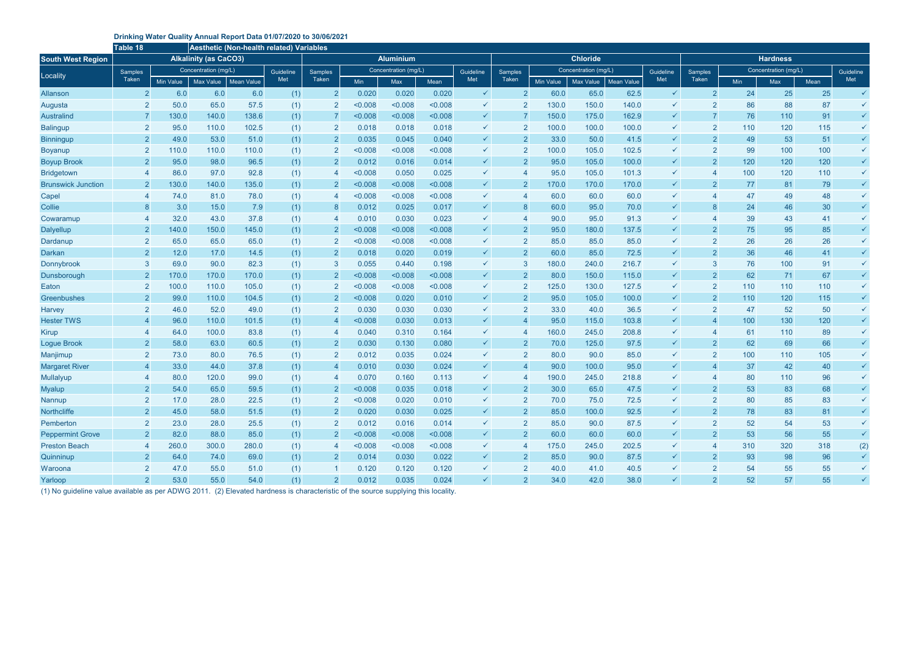## **Drinking Water Quality Annual Report Data 01/07/2020 to 30/06/2021**

|                           | Table 18                     |                      | <b>Aesthetic (Non-health related) Variables</b> |       |           |                  |                      |         |         |              |                |           |                      |                   |                 |                |                      |     |      |              |
|---------------------------|------------------------------|----------------------|-------------------------------------------------|-------|-----------|------------------|----------------------|---------|---------|--------------|----------------|-----------|----------------------|-------------------|-----------------|----------------|----------------------|-----|------|--------------|
| <b>South West Region</b>  | <b>Alkalinity (as CaCO3)</b> |                      |                                                 |       |           | <b>Aluminium</b> |                      |         |         |              |                |           | <b>Chloride</b>      |                   | <b>Hardness</b> |                |                      |     |      |              |
| Locality                  | Samples                      | Concentration (mg/L) |                                                 |       | Guideline | Samples          | Concentration (mg/L) |         |         | Guideline    | Samples        |           | Concentration (mg/L) |                   | Guideline       | Samples        | Concentration (mg/L) |     |      | Guideline    |
|                           | Taken                        | Min Value            | Max Value   Mean Value                          |       | Met       | Taken            | Min                  | Max     | Mean    | Met          | Taken          | Min Value | Max Value            | <b>Mean Value</b> | Met             | <b>Taken</b>   | Min                  | Max | Mean | Met          |
| <b>Allanson</b>           | $\overline{2}$               | 6.0                  | 6.0                                             | 6.0   | (1)       | $\overline{2}$   | 0.020                | 0.020   | 0.020   | $\checkmark$ |                | 60.0      | 65.0                 | 62.5              | $\checkmark$    | $\overline{2}$ | 24                   | 25  | 25   | $\checkmark$ |
| Augusta                   | 2                            | 50.0                 | 65.0                                            | 57.5  | (1)       | $\overline{2}$   | < 0.008              | < 0.008 | < 0.008 | $\checkmark$ |                | 130.0     | 150.0                | 140.0             | ✓               | $\overline{2}$ | 86                   | 88  | 87   | $\checkmark$ |
| <b>Australind</b>         |                              | 130.0                | 140.0                                           | 138.6 | (1)       |                  | < 0.008              | < 0.008 | < 0.008 | $\checkmark$ |                | 150.0     | 175.0                | 162.9             | $\checkmark$    |                | 76                   | 110 | 91   | $\checkmark$ |
| <b>Balingup</b>           | $\overline{2}$               | 95.0                 | 110.0                                           | 102.5 | (1)       | $\overline{2}$   | 0.018                | 0.018   | 0.018   | $\checkmark$ |                | 100.0     | 100.0                | 100.0             | $\checkmark$    | 2              | 110                  | 120 | 115  | $\checkmark$ |
| <b>Binningup</b>          | $\overline{2}$               | 49.0                 | 53.0                                            | 51.0  | (1)       | $\overline{2}$   | 0.035                | 0.045   | 0.040   | $\checkmark$ | $\overline{2}$ | 33.0      | 50.0                 | 41.5              | $\checkmark$    | $\overline{2}$ | 49                   | 53  | 51   | $\checkmark$ |
| <b>Boyanup</b>            | 2                            | 110.0                | 110.0                                           | 110.0 | (1)       | $\overline{2}$   | < 0.008              | < 0.008 | < 0.008 | $\checkmark$ |                | 100.0     | 105.0                | 102.5             | $\checkmark$    | $\overline{2}$ | 99                   | 100 | 100  | $\checkmark$ |
| <b>Boyup Brook</b>        | $\overline{2}$               | 95.0                 | 98.0                                            | 96.5  | (1)       | $\overline{2}$   | 0.012                | 0.016   | 0.014   | $\checkmark$ |                | 95.0      | 105.0                | 100.0             | $\checkmark$    | $\overline{2}$ | 120                  | 120 | 120  | $\checkmark$ |
| <b>Bridgetown</b>         |                              | 86.0                 | 97.0                                            | 92.8  | (1)       | -4               | < 0.008              | 0.050   | 0.025   | $\checkmark$ |                | 95.0      | 105.0                | 101.3             | $\checkmark$    |                | 100                  | 120 | 110  | $\checkmark$ |
| <b>Brunswick Junction</b> |                              | 130.0                | 140.0                                           | 135.0 | (1)       | $\overline{2}$   | < 0.008              | < 0.008 | < 0.008 | $\checkmark$ |                | 170.0     | 170.0                | 170.0             | $\checkmark$    | $\overline{2}$ | 77                   | 81  | 79   | $\checkmark$ |
| Capel                     |                              | 74.0                 | 81.0                                            | 78.0  | (1)       | -4               | < 0.008              | < 0.008 | < 0.008 | $\checkmark$ |                | 60.0      | 60.0                 | 60.0              | ✓               |                | 47                   | 49  | 48   | $\checkmark$ |
| Collie                    |                              | 3.0                  | 15.0                                            | 7.9   | (1)       | 8                | 0.012                | 0.025   | 0.017   | $\checkmark$ |                | 60.0      | 95.0                 | 70.0              | $\checkmark$    | 8              | 24                   | 46  | 30   | $\checkmark$ |
| Cowaramup                 |                              | 32.0                 | 43.0                                            | 37.8  | (1)       | -4               | 0.010                | 0.030   | 0.023   | $\checkmark$ |                | 90.0      | 95.0                 | 91.3              | $\checkmark$    |                | 39                   | 43  | 41   | $\checkmark$ |
| Dalyellup                 | $\overline{\mathbf{2}}$      | 140.0                | 150.0                                           | 145.0 | (1)       | $\overline{2}$   | < 0.008              | < 0.008 | < 0.008 | $\checkmark$ |                | 95.0      | 180.0                | 137.5             | $\checkmark$    | $\overline{2}$ | 75                   | 95  | 85   | $\checkmark$ |
| Dardanup                  | $\overline{2}$               | 65.0                 | 65.0                                            | 65.0  | (1)       | $\overline{2}$   | < 0.008              | < 0.008 | < 0.008 | $\checkmark$ |                | 85.0      | 85.0                 | 85.0              |                 | $\overline{2}$ | 26                   | 26  | 26   | $\checkmark$ |
| <b>Darkan</b>             | $\overline{2}$               | 12.0                 | 17.0                                            | 14.5  | (1)       | $\overline{2}$   | 0.018                | 0.020   | 0.019   | $\checkmark$ | $\overline{2}$ | 60.0      | 85.0                 | 72.5              |                 | $\overline{2}$ | 36                   | 46  | 41   | $\checkmark$ |
| Donnybrook                | 3                            | 69.0                 | 90.0                                            | 82.3  | (1)       | 3                | 0.055                | 0.440   | 0.198   | $\checkmark$ |                | 180.0     | 240.0                | 216.7             | $\checkmark$    | 3              | 76                   | 100 | 91   | $\checkmark$ |
| Dunsborough               | $\overline{\mathbf{2}}$      | 170.0                | 170.0                                           | 170.0 | (1)       | $\overline{2}$   | < 0.008              | < 0.008 | < 0.008 | $\checkmark$ |                | 80.0      | 150.0                | 115.0             | $\checkmark$    | $\overline{2}$ | 62                   | 71  | 67   | $\checkmark$ |
| Eaton                     | $\overline{2}$               | 100.0                | 110.0                                           | 105.0 | (1)       | $\overline{2}$   | < 0.008              | < 0.008 | < 0.008 | $\checkmark$ |                | 125.0     | 130.0                | 127.5             |                 | $\overline{2}$ | 110                  | 110 | 110  | $\checkmark$ |
| Greenbushes               | 2                            | 99.0                 | 110.0                                           | 104.5 | (1)       | $\overline{2}$   | < 0.008              | 0.020   | 0.010   | $\checkmark$ |                | 95.0      | 105.0                | 100.0             | $\checkmark$    | $\overline{2}$ | 110                  | 120 | 115  | $\checkmark$ |
| <b>Harvey</b>             | 2                            | 46.0                 | 52.0                                            | 49.0  | (1)       | $\overline{2}$   | 0.030                | 0.030   | 0.030   | $\checkmark$ |                | 33.0      | 40.0                 | 36.5              | $\checkmark$    | $\overline{2}$ | 47                   | 52  | 50   | $\checkmark$ |
| <b>Hester TWS</b>         |                              | 96.0                 | 110.0                                           | 101.5 | (1)       | -4               | < 0.008              | 0.030   | 0.013   | $\checkmark$ |                | 95.0      | 115.0                | 103.8             | $\checkmark$    |                | 100                  | 130 | 120  | $\checkmark$ |
| Kirup                     |                              | 64.0                 | 100.0                                           | 83.8  | (1)       | 4                | 0.040                | 0.310   | 0.164   | $\checkmark$ |                | 160.0     | 245.0                | 208.8             | ✓               |                | 61                   | 110 | 89   | $\checkmark$ |
| <b>Logue Brook</b>        |                              | 58.0                 | 63.0                                            | 60.5  | (1)       | $\overline{2}$   | 0.030                | 0.130   | 0.080   | $\checkmark$ |                | 70.0      | 125.0                | 97.5              | $\checkmark$    | $\overline{2}$ | 62                   | 69  | 66   | $\checkmark$ |
| Manjimup                  |                              | 73.0                 | 80.0                                            | 76.5  | (1)       | $\overline{2}$   | 0.012                | 0.035   | 0.024   | $\checkmark$ |                | 80.0      | 90.0                 | 85.0              | ✓               | 2              | 100                  | 110 | 105  | $\checkmark$ |
| <b>Margaret River</b>     |                              | 33.0                 | 44.0                                            | 37.8  | (1)       |                  | 0.010                | 0.030   | 0.024   | $\checkmark$ |                | 90.0      | 100.0                | 95.0              | $\checkmark$    |                | 37                   | 42  | 40   | $\checkmark$ |
| Mullalyup                 |                              | 80.0                 | 120.0                                           | 99.0  | (1)       |                  | 0.070                | 0.160   | 0.113   | $\checkmark$ |                | 190.0     | 245.0                | 218.8             | ✓               |                | 80                   | 110 | 96   | $\checkmark$ |
| <b>Myalup</b>             | $\overline{2}$               | 54.0                 | 65.0                                            | 59.5  | (1)       | $\overline{2}$   | < 0.008              | 0.035   | 0.018   |              |                | 30.0      | 65.0                 | 47.5              |                 | $\overline{2}$ | 53                   | 83  | 68   |              |
| Nannup                    | $\mathbf{2}$                 | 17.0                 | 28.0                                            | 22.5  | (1)       | $\overline{2}$   | < 0.008              | 0.020   | 0.010   | $\checkmark$ |                | 70.0      | 75.0                 | 72.5              | $\checkmark$    | $\overline{2}$ | 80                   | 85  | 83   |              |
| <b>Northcliffe</b>        | $\overline{2}$               | 45.0                 | 58.0                                            | 51.5  | (1)       | $\overline{2}$   | 0.020                | 0.030   | 0.025   | $\checkmark$ | $\overline{2}$ | 85.0      | 100.0                | 92.5              | $\checkmark$    | $\overline{2}$ | 78                   | 83  | 81   | $\checkmark$ |
| Pemberton                 | $\overline{2}$               | 23.0                 | 28.0                                            | 25.5  | (1)       | $\overline{2}$   | 0.012                | 0.016   | 0.014   | $\checkmark$ |                | 85.0      | 90.0                 | 87.5              | $\checkmark$    | 2              | 52                   | 54  | 53   | $\checkmark$ |
| <b>Peppermint Grove</b>   | $\overline{2}$               | 82.0                 | 88.0                                            | 85.0  | (1)       | $\overline{2}$   | < 0.008              | < 0.008 | < 0.008 | $\checkmark$ | $\overline{2}$ | 60.0      | 60.0                 | 60.0              | $\checkmark$    | $\overline{2}$ | 53                   | 56  | 55   | $\checkmark$ |
| <b>Preston Beach</b>      |                              | 260.0                | 300.0                                           | 280.0 | (1)       | -4               | < 0.008              | < 0.008 | < 0.008 | $\checkmark$ |                | 175.0     | 245.0                | 202.5             | $\checkmark$    |                | 310                  | 320 | 318  | (2)          |
| Quinninup                 | $\mathbf{2}$                 | 64.0                 | 74.0                                            | 69.0  | (1)       | $\overline{2}$   | 0.014                | 0.030   | 0.022   | $\checkmark$ | $\mathbf{2}$   | 85.0      | 90.0                 | 87.5              | $\checkmark$    | $\overline{2}$ | 93                   | 98  | 96   | $\checkmark$ |
| Waroona                   | $\overline{2}$               | 47.0                 | 55.0                                            | 51.0  | (1)       |                  | 0.120                | 0.120   | 0.120   | $\checkmark$ |                | 40.0      | 41.0                 | 40.5              | $\checkmark$    | $\overline{2}$ | 54                   | 55  | 55   | $\checkmark$ |
| Yarloop                   | $\overline{2}$               | 53.0                 | 55.0                                            | 54.0  | (1)       | $\overline{2}$   | 0.012                | 0.035   | 0.024   | $\checkmark$ | 2 <sup>1</sup> | 34.0      | 42.0                 | 38.0              | $\checkmark$    | 2 <sup>1</sup> | 52                   | 57  | 55   | $\checkmark$ |

(1) No guideline value available as per ADWG 2011. (2) Elevated hardness is characteristic of the source supplying this locality.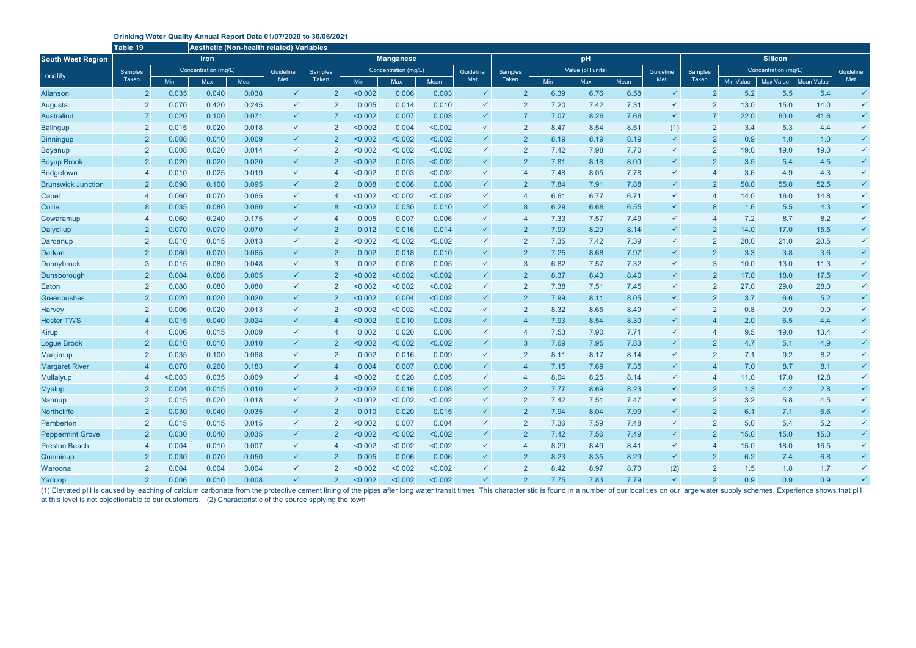## **Drinking Water Quality Annual Report Data 01/07/2020 to 30/06/2021**

(1) Elevated pH is caused by leaching of calcium carbonate from the protective cement lining of the pipes after long water transit times. This characteristic is found in a number of our localities on our large water supply at this level is not objectionable to our customers. (2) Characteristic of the source spplying the town

|                           | Table 19<br>Aesthetic (Non-health related) Variables |                      |             |       |              |                  |                      |         |         |              |                |                  |      |      |              |                |                      |           |                   |              |  |
|---------------------------|------------------------------------------------------|----------------------|-------------|-------|--------------|------------------|----------------------|---------|---------|--------------|----------------|------------------|------|------|--------------|----------------|----------------------|-----------|-------------------|--------------|--|
| <b>South West Region</b>  |                                                      |                      | <b>Iron</b> |       |              | <b>Manganese</b> |                      |         |         |              |                |                  | pH   |      |              | <b>Silicon</b> |                      |           |                   |              |  |
| Locality                  | Samples                                              | Concentration (mg/L) |             |       | Guideline    | <b>Samples</b>   | Concentration (mg/L) |         |         | Guideline    | Samples        | Value (pH units) |      |      | Guideline    | Samples        | Concentration (mg/L) |           |                   | Guideline    |  |
|                           | Taken                                                | <b>Min</b>           | Max         | Mean  | Met          | Taken            | Min                  | Max     | Mean    | Met          | <b>Taken</b>   | Min              | Max  | Mean | Met          | Taken          | Min Value            | Max Value | <b>Mean Value</b> | Met          |  |
| <b>Allanson</b>           | $\overline{2}$                                       | 0.035                | 0.040       | 0.038 | $\checkmark$ | $\overline{2}$   | < 0.002              | 0.006   | 0.003   | $\checkmark$ | $\overline{2}$ | 6.39             | 6.76 | 6.58 | $\checkmark$ | $\overline{2}$ | 5.2                  | 5.5       | 5.4               | $\checkmark$ |  |
| Augusta                   | $\overline{2}$                                       | 0.070                | 0.420       | 0.245 | $\checkmark$ | $\overline{2}$   | 0.005                | 0.014   | 0.010   | $\checkmark$ | $\overline{2}$ | 7.20             | 7.42 | 7.31 | $\checkmark$ | $\overline{2}$ | 13.0                 | 15.0      | 14.0              | $\checkmark$ |  |
| <b>Australind</b>         |                                                      | 0.020                | 0.100       | 0.071 | $\checkmark$ |                  | < 0.002              | 0.007   | 0.003   | $\checkmark$ |                | 7.07             | 8.26 | 7.66 | $\checkmark$ |                | 22.0                 | 60.0      | 41.6              | $\checkmark$ |  |
| <b>Balingup</b>           | -2                                                   | 0.015                | 0.020       | 0.018 | $\checkmark$ | $\overline{2}$   | < 0.002              | 0.004   | < 0.002 | $\checkmark$ |                | 8.47             | 8.54 | 8.51 | (1)          | 2              | 3.4                  | 5.3       | 4.4               | $\checkmark$ |  |
| <b>Binningup</b>          | $\overline{\mathbf{2}}$                              | 0.008                | 0.010       | 0.009 | $\checkmark$ | $\overline{2}$   | < 0.002              | < 0.002 | < 0.002 | $\checkmark$ | $\overline{2}$ | 8.19             | 8.19 | 8.19 | $\checkmark$ | $\overline{2}$ | 0.9                  | 1.0       | 1.0               | $\checkmark$ |  |
| <b>Boyanup</b>            |                                                      | 0.008                | 0.020       | 0.014 | $\checkmark$ | $\overline{2}$   | < 0.002              | < 0.002 | < 0.002 | $\checkmark$ |                | 7.42             | 7.98 | 7.70 | $\checkmark$ | $\overline{2}$ | 19.0                 | 19.0      | 19.0              | $\checkmark$ |  |
| <b>Boyup Brook</b>        | $\overline{\mathbf{2}}$                              | 0.020                | 0.020       | 0.020 | $\checkmark$ | $\overline{2}$   | < 0.002              | 0.003   | < 0.002 | $\checkmark$ | $\overline{2}$ | 7.81             | 8.18 | 8.00 | $\checkmark$ | $\overline{2}$ | 3.5                  | 5.4       | 4.5               | $\checkmark$ |  |
| <b>Bridgetown</b>         |                                                      | 0.010                | 0.025       | 0.019 | $\checkmark$ |                  | < 0.002              | 0.003   | < 0.002 | $\checkmark$ |                | 7.48             | 8.05 | 7.78 | $\checkmark$ |                | 3.6                  | 4.9       | 4.3               | $\checkmark$ |  |
| <b>Brunswick Junction</b> |                                                      | 0.090                | 0.100       | 0.095 | $\checkmark$ | $\overline{2}$   | 0.008                | 0.008   | 0.008   | $\checkmark$ | $\overline{2}$ | 7.84             | 7.91 | 7.88 | $\checkmark$ | $\overline{2}$ | 50.0                 | 55.0      | 52.5              | $\checkmark$ |  |
| Capel                     |                                                      | 0.060                | 0.070       | 0.065 | $\checkmark$ |                  | < 0.002              | < 0.002 | < 0.002 | ✓            |                | 6.61             | 6.77 | 6.71 | $\checkmark$ |                | 14.0                 | 16.0      | 14.8              | $\checkmark$ |  |
| Collie                    |                                                      | 0.035                | 0.080       | 0.060 | $\checkmark$ |                  | < 0.002              | 0.030   | 0.010   | $\checkmark$ |                | 6.29             | 6.68 | 6.55 | $\checkmark$ | 8              | 1.6                  | 5.5       | 4.3               | $\checkmark$ |  |
| Cowaramup                 |                                                      | 0.060                | 0.240       | 0.175 | $\checkmark$ |                  | 0.005                | 0.007   | 0.006   | ✓            |                | 7.33             | 7.57 | 7.49 |              |                | 7.2                  | 8.7       | 8.2               | $\checkmark$ |  |
| <b>Dalyellup</b>          | $\overline{2}$                                       | 0.070                | 0.070       | 0.070 | $\checkmark$ | $\overline{2}$   | 0.012                | 0.016   | 0.014   | $\checkmark$ | $\overline{2}$ | 7.99             | 8.29 | 8.14 | $\checkmark$ | $\overline{2}$ | 14.0                 | 17.0      | 15.5              | $\checkmark$ |  |
| Dardanup                  | $\overline{2}$                                       | 0.010                | 0.015       | 0.013 | $\checkmark$ | $\overline{2}$   | < 0.002              | < 0.002 | < 0.002 | $\checkmark$ | $\overline{2}$ | 7.35             | 7.42 | 7.39 |              | $\overline{2}$ | 20.0                 | 21.0      | 20.5              | $\checkmark$ |  |
| <b>Darkan</b>             | $\overline{2}$                                       | 0.060                | 0.070       | 0.065 | $\checkmark$ | $\overline{2}$   | 0.002                | 0.018   | 0.010   | $\checkmark$ | $\overline{2}$ | 7.25             | 8.68 | 7.97 | $\checkmark$ | $\overline{2}$ | 3.3                  | 3.8       | 3.6               | $\checkmark$ |  |
| Donnybrook                | -3                                                   | 0.015                | 0.080       | 0.048 | $\checkmark$ | 3                | 0.002                | 0.008   | 0.005   | ✓            | 3              | 6.82             | 7.57 | 7.32 | $\checkmark$ | 3              | 10.0                 | 13.0      | 11.3              | $\checkmark$ |  |
| Dunsborough               | $\overline{\mathbf{2}}$                              | 0.004                | 0.006       | 0.005 | $\checkmark$ | $\overline{2}$   | < 0.002              | < 0.002 | < 0.002 | $\checkmark$ | $\overline{2}$ | 8.37             | 8.43 | 8.40 | $\checkmark$ | $\overline{2}$ | 17.0                 | 18.0      | 17.5              | $\checkmark$ |  |
| Eaton                     | $\overline{2}$                                       | 0.080                | 0.080       | 0.080 | $\checkmark$ | $\overline{2}$   | < 0.002              | < 0.002 | < 0.002 | ✓            | $\overline{2}$ | 7.38             | 7.51 | 7.45 |              | $\overline{2}$ | 27.0                 | 29.0      | 28.0              | $\checkmark$ |  |
| Greenbushes               | $\overline{\mathbf{2}}$                              | 0.020                | 0.020       | 0.020 | $\checkmark$ | $\overline{2}$   | < 0.002              | 0.004   | < 0.002 | $\checkmark$ | $\overline{2}$ | 7.99             | 8.11 | 8.05 | $\checkmark$ | $\overline{2}$ | 3.7                  | 6.6       | 5.2               | $\checkmark$ |  |
| <b>Harvey</b>             | $\overline{2}$                                       | 0.006                | 0.020       | 0.013 | $\checkmark$ | $\overline{2}$   | < 0.002              | < 0.002 | < 0.002 | ✓            | $\overline{2}$ | 8.32             | 8.65 | 8.49 | $\checkmark$ | $\overline{2}$ | 0.8                  | 0.9       | 0.9               | $\checkmark$ |  |
| <b>Hester TWS</b>         |                                                      | 0.015                | 0.040       | 0.024 | $\checkmark$ |                  | < 0.002              | 0.010   | 0.003   | $\checkmark$ |                | 7.93             | 8.54 | 8.30 | $\checkmark$ |                | 2.0                  | 6.5       | 4.4               | $\checkmark$ |  |
| Kirup                     |                                                      | 0.006                | 0.015       | 0.009 | $\checkmark$ |                  | 0.002                | 0.020   | 0.008   | $\checkmark$ |                | 7.53             | 7.90 | 7.71 | $\checkmark$ |                | 9.5                  | 19.0      | 13.4              | $\checkmark$ |  |
| <b>Logue Brook</b>        |                                                      | 0.010                | 0.010       | 0.010 | $\checkmark$ |                  | < 0.002              | < 0.002 | < 0.002 | $\checkmark$ | 3              | 7.69             | 7.95 | 7.83 | $\checkmark$ | $\overline{2}$ | 4.7                  | 5.1       | 4.9               | $\checkmark$ |  |
| Manjimup                  |                                                      | 0.035                | 0.100       | 0.068 | $\checkmark$ | $\overline{2}$   | 0.002                | 0.016   | 0.009   | $\checkmark$ |                | 8.11             | 8.17 | 8.14 |              | $\overline{2}$ | 7.1                  | 9.2       | 8.2               | $\checkmark$ |  |
| <b>Margaret River</b>     |                                                      | 0.070                | 0.260       | 0.183 | $\checkmark$ |                  | 0.004                | 0.007   | 0.006   | $\checkmark$ |                | 7.15             | 7.69 | 7.35 |              |                | 7.0                  | 8.7       | 8.1               | $\checkmark$ |  |
| Mullalyup                 |                                                      | < 0.003              | 0.035       | 0.009 | ✓            |                  | < 0.002              | 0.020   | 0.005   | ✓            |                | 8.04             | 8.25 | 8.14 |              |                | 11.0                 | 17.0      | 12.8              |              |  |
| <b>Myalup</b>             | $\overline{2}$                                       | 0.004                | 0.015       | 0.010 | $\checkmark$ | $\Omega$         | < 0.002              | 0.016   | 0.008   |              | $\mathcal{P}$  | 7.77             | 8.69 | 8.23 |              | $\overline{2}$ | 1.3                  | 4.2       | 2.8               |              |  |
| Nannup                    | $\overline{2}$                                       | 0.015                | 0.020       | 0.018 | $\checkmark$ | $\overline{2}$   | < 0.002              | < 0.002 | < 0.002 | $\checkmark$ | 2              | 7.42             | 7.51 | 7.47 | $\checkmark$ | $\overline{2}$ | 3.2                  | 5.8       | 4.5               |              |  |
| Northcliffe               | $\overline{2}$                                       | 0.030                | 0.040       | 0.035 | $\checkmark$ | $\overline{2}$   | 0.010                | 0.020   | 0.015   | $\checkmark$ | $\overline{2}$ | 7.94             | 8.04 | 7.99 | $\checkmark$ | $\overline{2}$ | 6.1                  | 7.1       | 6.6               | $\checkmark$ |  |
| Pemberton                 | $\overline{2}$                                       | 0.015                | 0.015       | 0.015 | $\checkmark$ | $\overline{2}$   | < 0.002              | 0.007   | 0.004   | $\checkmark$ | $\overline{2}$ | 7.36             | 7.59 | 7.48 | $\checkmark$ | 2              | 5.0                  | 5.4       | 5.2               |              |  |
| <b>Peppermint Grove</b>   | $\overline{2}$                                       | 0.030                | 0.040       | 0.035 | $\checkmark$ | $\overline{2}$   | < 0.002              | < 0.002 | < 0.002 | $\checkmark$ | $\overline{2}$ | 7.42             | 7.56 | 7.49 | $\checkmark$ | $\overline{2}$ | 15.0                 | 15.0      | 15.0              | $\checkmark$ |  |
| <b>Preston Beach</b>      |                                                      | 0.004                | 0.010       | 0.007 | $\checkmark$ | -4               | < 0.002              | < 0.002 | < 0.002 | $\checkmark$ |                | 8.29             | 8.49 | 8.41 | $\checkmark$ |                | 15.0                 | 18.0      | 16.5              | $\checkmark$ |  |
| Quinninup                 | $\overline{\mathbf{2}}$                              | 0.030                | 0.070       | 0.050 | $\checkmark$ | $\overline{2}$   | 0.005                | 0.006   | 0.006   | $\checkmark$ | $\overline{2}$ | 8.23             | 8.35 | 8.29 | $\checkmark$ | $\overline{2}$ | 6.2                  | 7.4       | 6.8               | $\checkmark$ |  |
| Waroona                   | $\overline{\mathbf{2}}$                              | 0.004                | 0.004       | 0.004 | $\checkmark$ | $\overline{2}$   | < 0.002              | < 0.002 | < 0.002 | $\checkmark$ | $\overline{2}$ | 8.42             | 8.97 | 8.70 | (2)          | 2              | 1.5                  | 1.8       | 1.7               | $\checkmark$ |  |
| Yarloop                   | $\overline{2}$                                       | 0.006                | 0.010       | 0.008 | $\checkmark$ | $\overline{2}$   | < 0.002              | < 0.002 | < 0.002 | $\checkmark$ | 2 <sup>2</sup> | 7.75             | 7.83 | 7.79 | $\checkmark$ | 2 <sup>1</sup> | 0.9                  | 0.9       | 0.9               | $\checkmark$ |  |